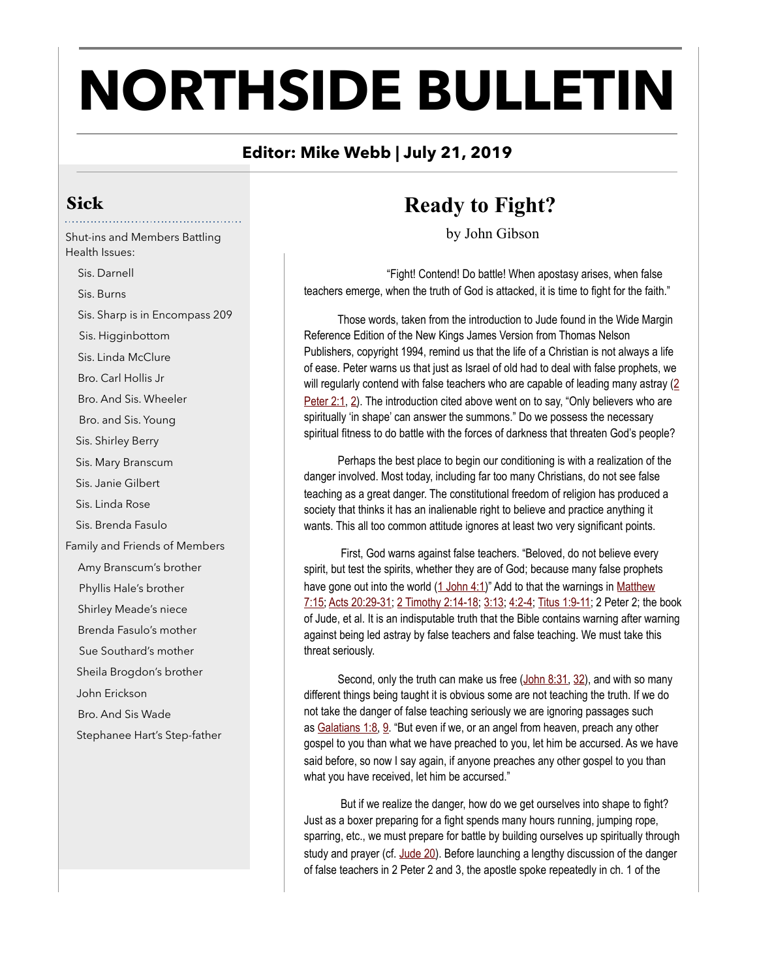# **NORTHSIDE BULLETIN**

# **Editor: Mike Webb | July 21, 2019**

# Sick

Shut-ins and Members Battling Health Issues:

 Sis. Darnell Sis. Burns Sis. Sharp is in Encompass 209 Sis. Higginbottom Sis. Linda McClure Bro. Carl Hollis Jr Bro. And Sis. Wheeler Bro. and Sis. Young Sis. Shirley Berry Sis. Mary Branscum Sis. Janie Gilbert Sis. Linda Rose Sis. Brenda Fasulo Family and Friends of Members Amy Branscum's brother Phyllis Hale's brother Shirley Meade's niece Brenda Fasulo's mother Sue Southard's mother Sheila Brogdon's brother John Erickson Bro. And Sis Wade Stephanee Hart's Step-father

# **Ready to Fight?**

by John Gibson

 "Fight! Contend! Do battle! When apostasy arises, when false teachers emerge, when the truth of God is attacked, it is time to fight for the faith."

 Those words, taken from the introduction to Jude found in the Wide Margin Reference Edition of the New Kings James Version from Thomas Nelson Publishers, copyright 1994, remind us that the life of a Christian is not always a life of ease. Peter warns us that just as Israel of old had to deal with false prophets, we will regularly contend with false teachers who are capable of leading many astray [\(2](http://biblia.com/bible/nkjv/2%20Peter%202.1)  [Peter 2:1,](http://biblia.com/bible/nkjv/2%20Peter%202.1) [2\)](http://biblia.com/bible/nkjv/2%20Peter%202.2). The introduction cited above went on to say, "Only believers who are spiritually 'in shape' can answer the summons." Do we possess the necessary spiritual fitness to do battle with the forces of darkness that threaten God's people?

 Perhaps the best place to begin our conditioning is with a realization of the danger involved. Most today, including far too many Christians, do not see false teaching as a great danger. The constitutional freedom of religion has produced a society that thinks it has an inalienable right to believe and practice anything it wants. This all too common attitude ignores at least two very significant points.

 First, God warns against false teachers. "Beloved, do not believe every spirit, but test the spirits, whether they are of God; because many false prophets have gone out into the world [\(1 John 4:1\)](http://biblia.com/bible/nkjv/1%20John%204.1)" Add to that the warnings in Matthew [7:15;](http://biblia.com/bible/nkjv/Matthew%207.15) [Acts 20:29-31;](http://biblia.com/bible/nkjv/Acts%2020.29-31) [2 Timothy 2:14-18](http://biblia.com/bible/nkjv/2%20Timothy%202.14-18); [3:13;](http://biblia.com/bible/nkjv/2%20Timothy%203.13) [4:2-4;](http://biblia.com/bible/nkjv/2%20Timothy%204.2-4) [Titus 1:9-11;](http://biblia.com/bible/nkjv/Titus%201.9-11) 2 Peter 2; the book of Jude, et al. It is an indisputable truth that the Bible contains warning after warning against being led astray by false teachers and false teaching. We must take this threat seriously.

Second, only the truth can make us free ([John 8:31,](http://biblia.com/bible/nkjv/John%208.31) [32](http://biblia.com/bible/nkjv/John%208.32)), and with so many different things being taught it is obvious some are not teaching the truth. If we do not take the danger of false teaching seriously we are ignoring passages such as [Galatians 1:8,](http://biblia.com/bible/nkjv/Galatians%201.8) [9.](http://biblia.com/bible/nkjv/Galatians%201.9) "But even if we, or an angel from heaven, preach any other gospel to you than what we have preached to you, let him be accursed. As we have said before, so now I say again, if anyone preaches any other gospel to you than what you have received, let him be accursed."

 But if we realize the danger, how do we get ourselves into shape to fight? Just as a boxer preparing for a fight spends many hours running, jumping rope, sparring, etc., we must prepare for battle by building ourselves up spiritually through study and prayer (cf. [Jude 20](http://biblia.com/bible/nkjv/Jude%2020)). Before launching a lengthy discussion of the danger of false teachers in 2 Peter 2 and 3, the apostle spoke repeatedly in ch. 1 of the